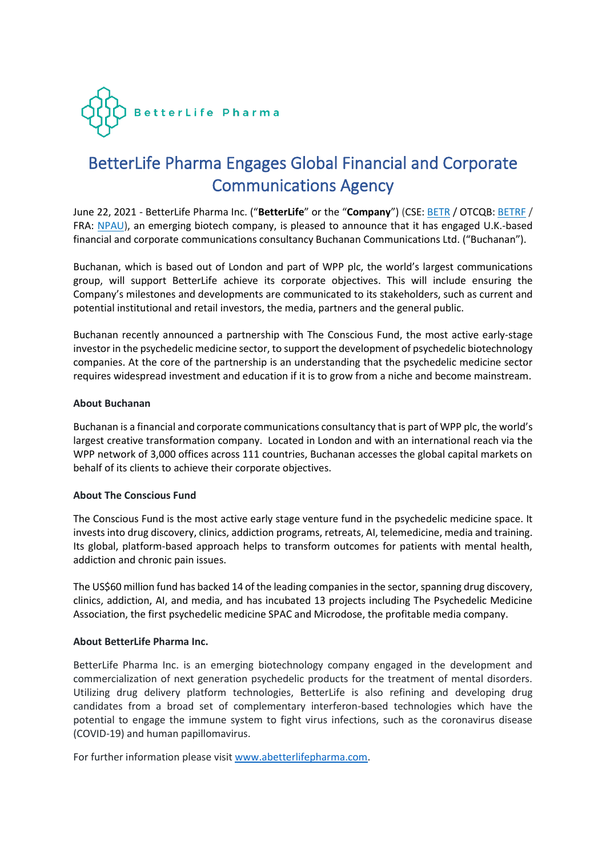

# BetterLife Pharma Engages Global Financial and Corporate Communications Agency

June 22, 2021 - BetterLife Pharma Inc. ("**BetterLife**" or the "**Company**") (CSE: [BETR](https://www.globenewswire.com/Tracker?data=qOGJlCaUw9sydbDiliscKczL-rlFaT73DpyFTTEew15eNXlcMoydbwDtIBOpyyvsABtqAv1eK20ux3bqN1ZGc3pXFmsNY0LeHUHbRAb7MmeyAhcyXfLImWesRDcdYeH6) / OTCQB: [BETRF](https://www.globenewswire.com/Tracker?data=tZxBZogv1sJ47zZ19iVXm7tZGcTXQwokvDq78VjQBu3upsnKM1JB2Rkdv0VP2Y-VUO55d-rxKHNoXZF5eM7tMXWw6rR67RfrRv1Txy8Pe-o=) / FRA: [NPAU\)](https://www.globenewswire.com/Tracker?data=X9zd_xnbfKe3D8vDCBkG9A_f5tekh9vmqPYOtTv6dxkJIKCYS0cXlEWFZO3bSdHOEcioml-OIzgExe--ytPGRnauVbFAvQaRMEqkJcvNI6CZX6yBIru7tcOHwr3qkjVZ), an emerging biotech company, is pleased to announce that it has engaged U.K.-based financial and corporate communications consultancy Buchanan Communications Ltd. ("Buchanan").

Buchanan, which is based out of London and part of WPP plc, the world's largest communications group, will support BetterLife achieve its corporate objectives. This will include ensuring the Company's milestones and developments are communicated to its stakeholders, such as current and potential institutional and retail investors, the media, partners and the general public.

Buchanan recently announced a partnership with The Conscious Fund, the most active early-stage investor in the psychedelic medicine sector, to support the development of psychedelic biotechnology companies. At the core of the partnership is an understanding that the psychedelic medicine sector requires widespread investment and education if it is to grow from a niche and become mainstream.

## **About Buchanan**

Buchanan is a financial and corporate communications consultancy that is part of WPP plc, the world's largest creative transformation company. Located in London and with an international reach via the WPP network of 3,000 offices across 111 countries, Buchanan accesses the global capital markets on behalf of its clients to achieve their corporate objectives.

## **About The Conscious Fund**

The Conscious Fund is the most active early stage venture fund in the psychedelic medicine space. It invests into drug discovery, clinics, addiction programs, retreats, AI, telemedicine, media and training. Its global, platform-based approach helps to transform outcomes for patients with mental health, addiction and chronic pain issues.

The US\$60 million fund has backed 14 of the leading companies in the sector, spanning drug discovery, clinics, addiction, AI, and media, and has incubated 13 projects including The Psychedelic Medicine Association, the first psychedelic medicine SPAC and Microdose, the profitable media company.

## **About BetterLife Pharma Inc.**

BetterLife Pharma Inc. is an emerging biotechnology company engaged in the development and commercialization of next generation psychedelic products for the treatment of mental disorders. Utilizing drug delivery platform technologies, BetterLife is also refining and developing drug candidates from a broad set of complementary interferon-based technologies which have the potential to engage the immune system to fight virus infections, such as the coronavirus disease (COVID-19) and human papillomavirus.

For further information please visit [www.abetterlifepharma.com.](file:///C:/Users/andre/AppData/Local/Temp/www.abetterlifepharma.com)